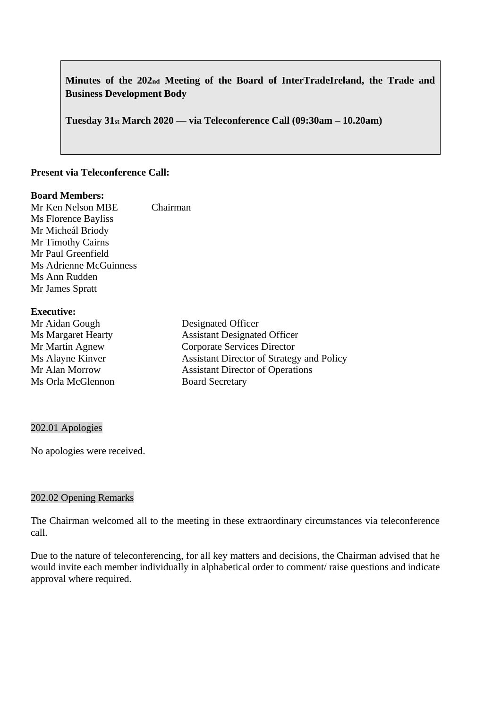**Minutes of the 202nd Meeting of the Board of InterTradeIreland, the Trade and Business Development Body** 

**Tuesday 31st March 2020 –– via Teleconference Call (09:30am – 10.20am)**

## **Present via Teleconference Call:**

#### **Board Members:**

Mr Ken Nelson MBE Chairman Ms Florence Bayliss Mr Micheál Briody Mr Timothy Cairns Mr Paul Greenfield Ms Adrienne McGuinness Ms Ann Rudden Mr James Spratt

## **Executive:**

| $\sim$                    |                                                  |
|---------------------------|--------------------------------------------------|
| Mr Aidan Gough            | Designated Officer                               |
| <b>Ms Margaret Hearty</b> | <b>Assistant Designated Officer</b>              |
| Mr Martin Agnew           | Corporate Services Director                      |
| Ms Alayne Kinver          | <b>Assistant Director of Strategy and Policy</b> |
| Mr Alan Morrow            | <b>Assistant Director of Operations</b>          |
| Ms Orla McGlennon         | <b>Board Secretary</b>                           |
|                           |                                                  |

#### 202.01 Apologies

No apologies were received.

#### 202.02 Opening Remarks

The Chairman welcomed all to the meeting in these extraordinary circumstances via teleconference call.

Due to the nature of teleconferencing, for all key matters and decisions, the Chairman advised that he would invite each member individually in alphabetical order to comment/ raise questions and indicate approval where required.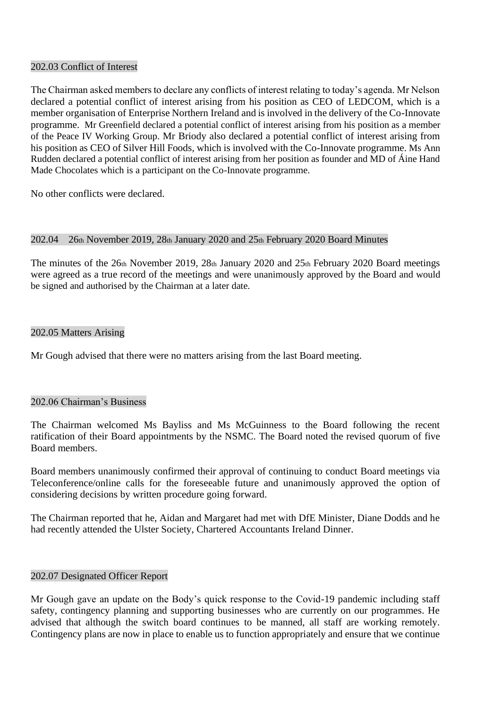## 202.03 Conflict of Interest

The Chairman asked members to declare any conflicts of interest relating to today's agenda. Mr Nelson declared a potential conflict of interest arising from his position as CEO of LEDCOM, which is a member organisation of Enterprise Northern Ireland and is involved in the delivery of the Co-Innovate programme. Mr Greenfield declared a potential conflict of interest arising from his position as a member of the Peace IV Working Group. Mr Briody also declared a potential conflict of interest arising from his position as CEO of Silver Hill Foods, which is involved with the Co-Innovate programme. Ms Ann Rudden declared a potential conflict of interest arising from her position as founder and MD of Áine Hand Made Chocolates which is a participant on the Co-Innovate programme.

No other conflicts were declared.

#### 202.04 26th November 2019, 28th January 2020 and 25th February 2020 Board Minutes

The minutes of the  $26th$  November 2019, 28th January 2020 and  $25th$  February 2020 Board meetings were agreed as a true record of the meetings and were unanimously approved by the Board and would be signed and authorised by the Chairman at a later date.

#### 202.05 Matters Arising

Mr Gough advised that there were no matters arising from the last Board meeting.

## 202.06 Chairman's Business

The Chairman welcomed Ms Bayliss and Ms McGuinness to the Board following the recent ratification of their Board appointments by the NSMC. The Board noted the revised quorum of five Board members.

Board members unanimously confirmed their approval of continuing to conduct Board meetings via Teleconference/online calls for the foreseeable future and unanimously approved the option of considering decisions by written procedure going forward.

The Chairman reported that he, Aidan and Margaret had met with DfE Minister, Diane Dodds and he had recently attended the Ulster Society, Chartered Accountants Ireland Dinner.

## 202.07 Designated Officer Report

Mr Gough gave an update on the Body's quick response to the Covid-19 pandemic including staff safety, contingency planning and supporting businesses who are currently on our programmes. He advised that although the switch board continues to be manned, all staff are working remotely. Contingency plans are now in place to enable us to function appropriately and ensure that we continue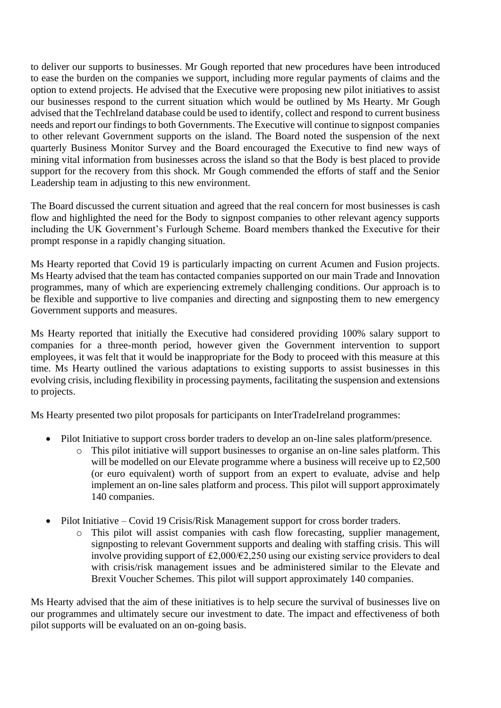to deliver our supports to businesses. Mr Gough reported that new procedures have been introduced to ease the burden on the companies we support, including more regular payments of claims and the option to extend projects. He advised that the Executive were proposing new pilot initiatives to assist our businesses respond to the current situation which would be outlined by Ms Hearty. Mr Gough advised that the TechIreland database could be used to identify, collect and respond to current business needs and report our findings to both Governments. The Executive will continue to signpost companies to other relevant Government supports on the island. The Board noted the suspension of the next quarterly Business Monitor Survey and the Board encouraged the Executive to find new ways of mining vital information from businesses across the island so that the Body is best placed to provide support for the recovery from this shock. Mr Gough commended the efforts of staff and the Senior Leadership team in adjusting to this new environment.

The Board discussed the current situation and agreed that the real concern for most businesses is cash flow and highlighted the need for the Body to signpost companies to other relevant agency supports including the UK Government's Furlough Scheme. Board members thanked the Executive for their prompt response in a rapidly changing situation.

Ms Hearty reported that Covid 19 is particularly impacting on current Acumen and Fusion projects. Ms Hearty advised that the team has contacted companies supported on our main Trade and Innovation programmes, many of which are experiencing extremely challenging conditions. Our approach is to be flexible and supportive to live companies and directing and signposting them to new emergency Government supports and measures.

Ms Hearty reported that initially the Executive had considered providing 100% salary support to companies for a three-month period, however given the Government intervention to support employees, it was felt that it would be inappropriate for the Body to proceed with this measure at this time. Ms Hearty outlined the various adaptations to existing supports to assist businesses in this evolving crisis, including flexibility in processing payments, facilitating the suspension and extensions to projects.

Ms Hearty presented two pilot proposals for participants on InterTradeIreland programmes:

- Pilot Initiative to support cross border traders to develop an on-line sales platform/presence.
	- o This pilot initiative will support businesses to organise an on-line sales platform. This will be modelled on our Elevate programme where a business will receive up to £2,500 (or euro equivalent) worth of support from an expert to evaluate, advise and help implement an on-line sales platform and process. This pilot will support approximately 140 companies.
- Pilot Initiative Covid 19 Crisis/Risk Management support for cross border traders.
	- o This pilot will assist companies with cash flow forecasting, supplier management, signposting to relevant Government supports and dealing with staffing crisis. This will involve providing support of  $£2,000/€2,250$  using our existing service providers to deal with crisis/risk management issues and be administered similar to the Elevate and Brexit Voucher Schemes. This pilot will support approximately 140 companies.

Ms Hearty advised that the aim of these initiatives is to help secure the survival of businesses live on our programmes and ultimately secure our investment to date. The impact and effectiveness of both pilot supports will be evaluated on an on-going basis.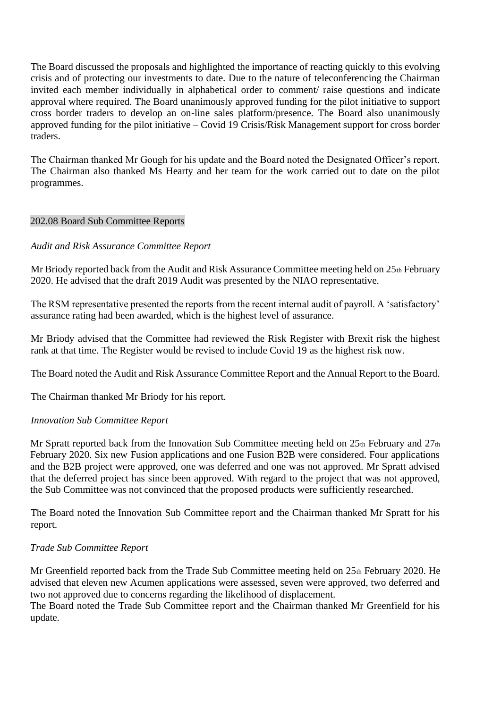The Board discussed the proposals and highlighted the importance of reacting quickly to this evolving crisis and of protecting our investments to date. Due to the nature of teleconferencing the Chairman invited each member individually in alphabetical order to comment/ raise questions and indicate approval where required. The Board unanimously approved funding for the pilot initiative to support cross border traders to develop an on-line sales platform/presence. The Board also unanimously approved funding for the pilot initiative – Covid 19 Crisis/Risk Management support for cross border traders.

The Chairman thanked Mr Gough for his update and the Board noted the Designated Officer's report. The Chairman also thanked Ms Hearty and her team for the work carried out to date on the pilot programmes.

## 202.08 Board Sub Committee Reports

# *Audit and Risk Assurance Committee Report*

Mr Briody reported back from the Audit and Risk Assurance Committee meeting held on 25th February 2020. He advised that the draft 2019 Audit was presented by the NIAO representative.

The RSM representative presented the reports from the recent internal audit of payroll. A 'satisfactory' assurance rating had been awarded, which is the highest level of assurance.

Mr Briody advised that the Committee had reviewed the Risk Register with Brexit risk the highest rank at that time. The Register would be revised to include Covid 19 as the highest risk now.

The Board noted the Audit and Risk Assurance Committee Report and the Annual Report to the Board.

The Chairman thanked Mr Briody for his report.

## *Innovation Sub Committee Report*

Mr Spratt reported back from the Innovation Sub Committee meeting held on  $25<sub>th</sub>$  February and  $27<sub>th</sub>$ February 2020. Six new Fusion applications and one Fusion B2B were considered. Four applications and the B2B project were approved, one was deferred and one was not approved. Mr Spratt advised that the deferred project has since been approved. With regard to the project that was not approved, the Sub Committee was not convinced that the proposed products were sufficiently researched.

The Board noted the Innovation Sub Committee report and the Chairman thanked Mr Spratt for his report.

# *Trade Sub Committee Report*

Mr Greenfield reported back from the Trade Sub Committee meeting held on 25th February 2020. He advised that eleven new Acumen applications were assessed, seven were approved, two deferred and two not approved due to concerns regarding the likelihood of displacement.

The Board noted the Trade Sub Committee report and the Chairman thanked Mr Greenfield for his update.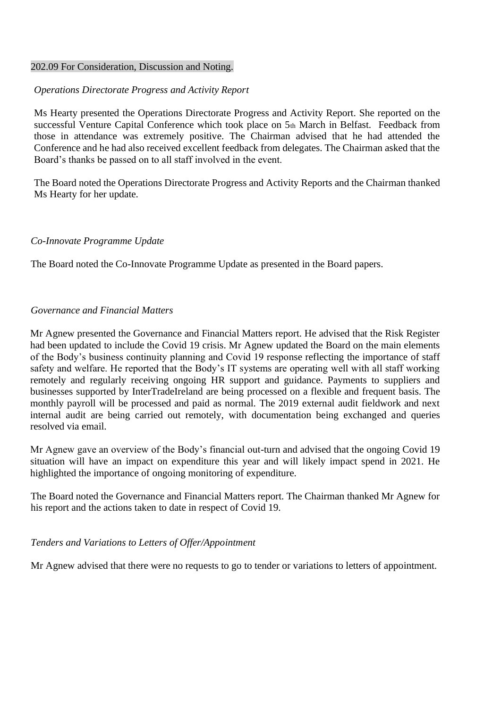#### 202.09 For Consideration, Discussion and Noting.

## *Operations Directorate Progress and Activity Report*

Ms Hearty presented the Operations Directorate Progress and Activity Report. She reported on the successful Venture Capital Conference which took place on 5th March in Belfast. Feedback from those in attendance was extremely positive. The Chairman advised that he had attended the Conference and he had also received excellent feedback from delegates. The Chairman asked that the Board's thanks be passed on to all staff involved in the event.

The Board noted the Operations Directorate Progress and Activity Reports and the Chairman thanked Ms Hearty for her update.

## *Co-Innovate Programme Update*

The Board noted the Co-Innovate Programme Update as presented in the Board papers.

## *Governance and Financial Matters*

Mr Agnew presented the Governance and Financial Matters report. He advised that the Risk Register had been updated to include the Covid 19 crisis. Mr Agnew updated the Board on the main elements of the Body's business continuity planning and Covid 19 response reflecting the importance of staff safety and welfare. He reported that the Body's IT systems are operating well with all staff working remotely and regularly receiving ongoing HR support and guidance. Payments to suppliers and businesses supported by InterTradeIreland are being processed on a flexible and frequent basis. The monthly payroll will be processed and paid as normal. The 2019 external audit fieldwork and next internal audit are being carried out remotely, with documentation being exchanged and queries resolved via email.

Mr Agnew gave an overview of the Body's financial out-turn and advised that the ongoing Covid 19 situation will have an impact on expenditure this year and will likely impact spend in 2021. He highlighted the importance of ongoing monitoring of expenditure.

The Board noted the Governance and Financial Matters report. The Chairman thanked Mr Agnew for his report and the actions taken to date in respect of Covid 19.

## *Tenders and Variations to Letters of Offer/Appointment*

Mr Agnew advised that there were no requests to go to tender or variations to letters of appointment.